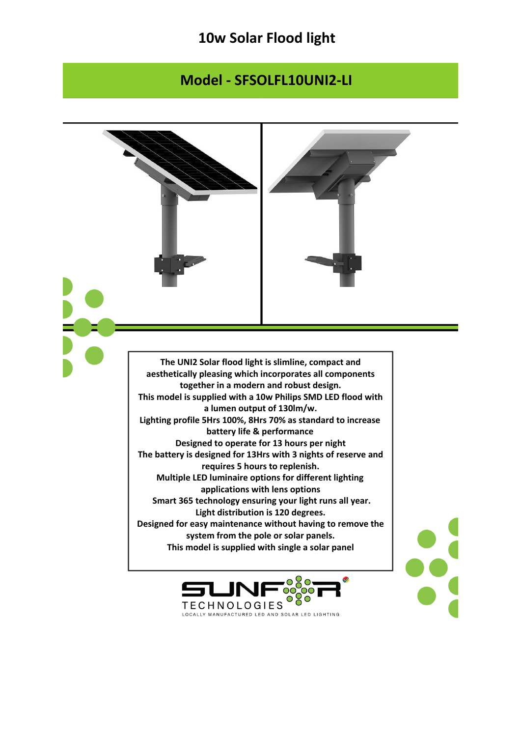## **10w Solar Flood light**

## **Model - SFSOLFL10UNI2-LI**

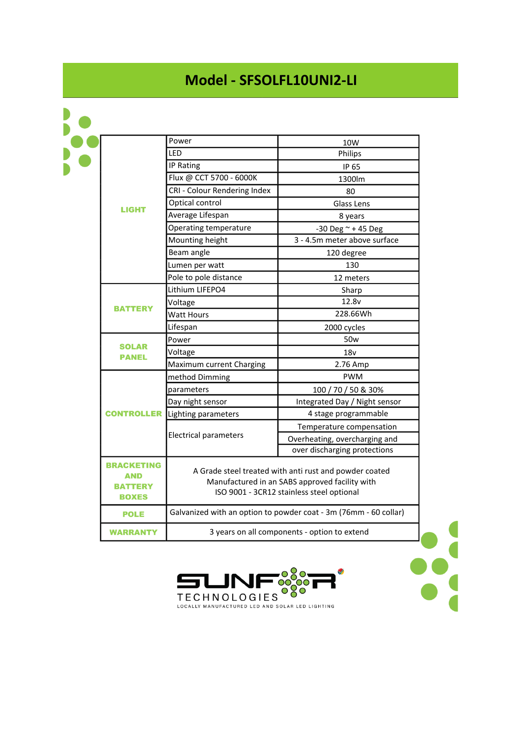## **Model - SFSOLFL10UNI2-LI**

| <b>LIGHT</b>                                                      | Power                                                                                                                                                 | 10W                           |
|-------------------------------------------------------------------|-------------------------------------------------------------------------------------------------------------------------------------------------------|-------------------------------|
|                                                                   | LED                                                                                                                                                   | Philips                       |
|                                                                   | IP Rating                                                                                                                                             | IP 65                         |
|                                                                   | Flux @ CCT 5700 - 6000K                                                                                                                               | 1300lm                        |
|                                                                   | CRI - Colour Rendering Index                                                                                                                          | 80                            |
|                                                                   | Optical control                                                                                                                                       | Glass Lens                    |
|                                                                   | Average Lifespan                                                                                                                                      | 8 years                       |
|                                                                   | Operating temperature                                                                                                                                 | $-30$ Deg $\approx$ +45 Deg   |
|                                                                   | Mounting height                                                                                                                                       | 3 - 4.5m meter above surface  |
|                                                                   | Beam angle                                                                                                                                            | 120 degree                    |
|                                                                   | Lumen per watt                                                                                                                                        | 130                           |
|                                                                   | Pole to pole distance                                                                                                                                 | 12 meters                     |
| <b>BATTERY</b>                                                    | Lithium LIFEPO4                                                                                                                                       | Sharp                         |
|                                                                   | Voltage                                                                                                                                               | 12.8v                         |
|                                                                   | Watt Hours                                                                                                                                            | 228.66Wh                      |
|                                                                   | Lifespan                                                                                                                                              | 2000 cycles                   |
| <b>SOLAR</b><br><b>PANEL</b>                                      | Power                                                                                                                                                 | 50 <sub>w</sub>               |
|                                                                   | Voltage                                                                                                                                               | 18v                           |
|                                                                   | Maximum current Charging                                                                                                                              | 2.76 Amp                      |
| <b>CONTROLLER</b>                                                 | method Dimming                                                                                                                                        | <b>PWM</b>                    |
|                                                                   | parameters                                                                                                                                            | 100 / 70 / 50 & 30%           |
|                                                                   | Day night sensor                                                                                                                                      | Integrated Day / Night sensor |
|                                                                   | Lighting parameters                                                                                                                                   | 4 stage programmable          |
|                                                                   | <b>Electrical parameters</b>                                                                                                                          | Temperature compensation      |
|                                                                   |                                                                                                                                                       | Overheating, overcharging and |
|                                                                   |                                                                                                                                                       | over discharging protections  |
| <b>BRACKETING</b><br><b>AND</b><br><b>BATTERY</b><br><b>BOXES</b> | A Grade steel treated with anti rust and powder coated<br>Manufactured in an SABS approved facility with<br>ISO 9001 - 3CR12 stainless steel optional |                               |
| <b>POLE</b>                                                       | Galvanized with an option to powder coat - 3m (76mm - 60 collar)                                                                                      |                               |
| <b>WARRANTY</b>                                                   | 3 years on all components - option to extend                                                                                                          |                               |